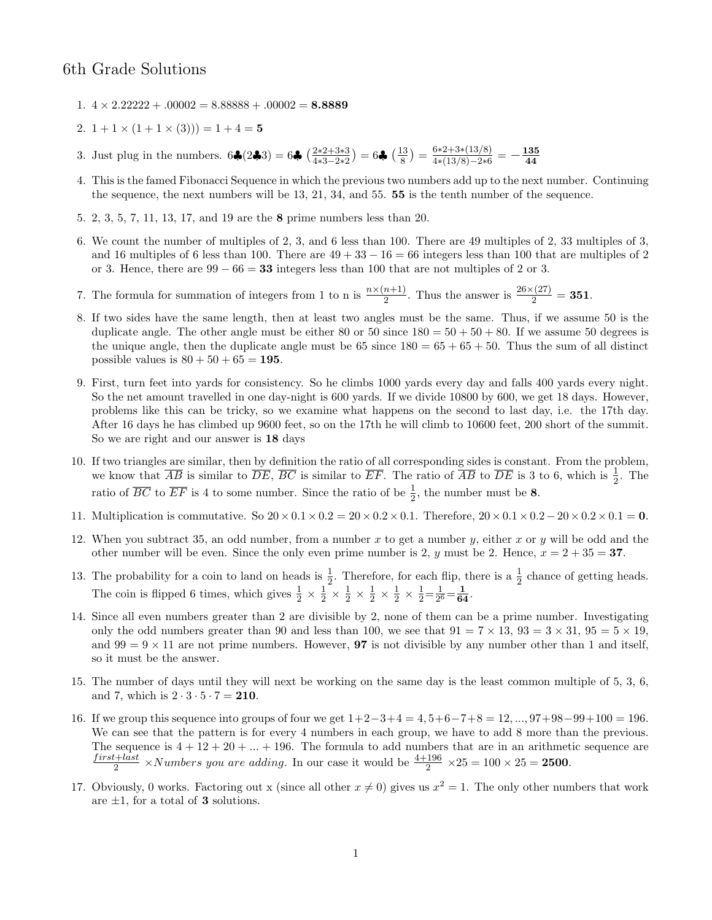## 6th Grade Solutions

- 1.  $4 \times 2.22222 + .00002 = 8.88888 + .00002 = 8.8889$
- 2.  $1 + 1 \times (1 + 1 \times (3)) = 1 + 4 = 5$
- 3. Just plug in the numbers.  $6\clubsuit(2\clubsuit 3) = 6\clubsuit \left(\frac{2*2+3*3}{4*3-2*2}\right)$  $\frac{2*2+3*3}{4*3-2*2}$ ) = 6♣ ( $\frac{13}{8}$  $\binom{13}{8}$  =  $\frac{6*2+3*(13/8)}{4*(13/8)-2*6}$  $\frac{6*2+3*(13/8)}{4*(13/8)-2*6}=-\frac{\textbf{135}}{\textbf{44}}$ 44
- 4. This is the famed Fibonacci Sequence in which the previous two numbers add up to the next number. Continuing the sequence, the next numbers will be 13, 21, 34, and 55. 55 is the tenth number of the sequence.
- 5. 2, 3, 5, 7, 11, 13, 17, and 19 are the 8 prime numbers less than 20.
- 6. We count the number of multiples of 2, 3, and 6 less than 100. There are 49 multiples of 2, 33 multiples of 3, and 16 multiples of 6 less than 100. There are  $49 + 33 - 16 = 66$  integers less than 100 that are multiples of 2 or 3. Hence, there are  $99 - 66 = 33$  integers less than 100 that are not multiples of 2 or 3.
- 7. The formula for summation of integers from 1 to n is  $\frac{n \times (n+1)}{2}$ . Thus the answer is  $\frac{26 \times (27)}{2} = 351$ .
- 8. If two sides have the same length, then at least two angles must be the same. Thus, if we assume 50 is the duplicate angle. The other angle must be either 80 or 50 since  $180 = 50 + 50 + 80$ . If we assume 50 degrees is the unique angle, then the duplicate angle must be  $65 \text{ since } 180 = 65 + 65 + 50$ . Thus the sum of all distinct possible values is  $80 + 50 + 65 = 195$ .
- 9. First, turn feet into yards for consistency. So he climbs 1000 yards every day and falls 400 yards every night. So the net amount travelled in one day-night is 600 yards. If we divide 10800 by 600, we get 18 days. However, problems like this can be tricky, so we examine what happens on the second to last day, i.e. the 17th day. After 16 days he has climbed up 9600 feet, so on the 17th he will climb to 10600 feet, 200 short of the summit. So we are right and our answer is 18 days
- 10. If two triangles are similar, then by definition the ratio of all corresponding sides is constant. From the problem, we know that  $\overline{AB}$  is similar to  $\overline{DE}$ ,  $\overline{BC}$  is similar to  $\overline{EF}$ . The ratio of  $\overline{AB}$  to  $\overline{DE}$  is 3 to 6, which is  $\frac{1}{2}$ . The ratio of  $\overline{BC}$  to  $\overline{EF}$  is 4 to some number. Since the ratio of be  $\frac{1}{2}$ , the number must be 8.
- 11. Multiplication is commutative. So  $20 \times 0.1 \times 0.2 = 20 \times 0.2 \times 0.1$ . Therefore,  $20 \times 0.1 \times 0.2 20 \times 0.2 \times 0.1 = 0$ .
- 12. When you subtract 35, an odd number, from a number x to get a number y, either x or y will be odd and the other number will be even. Since the only even prime number is 2, y must be 2. Hence,  $x = 2 + 35 = 37$ .
- 13. The probability for a coin to land on heads is  $\frac{1}{2}$ . Therefore, for each flip, there is a  $\frac{1}{2}$  chance of getting heads. The coin is flipped 6 times, which gives  $\frac{1}{2} \times \frac{1}{2}$  $\frac{1}{2}$   $\times$   $\frac{1}{2}$  $\frac{1}{2} \times \frac{1}{2}$  $\frac{1}{2} \times \frac{1}{2}$  $\frac{1}{2} \times \frac{1}{2}$  $\frac{1}{2} = \frac{1}{2^{\ell}}$  $\frac{1}{2^6} = \frac{1}{64}.$
- 14. Since all even numbers greater than 2 are divisible by 2, none of them can be a prime number. Investigating only the odd numbers greater than 90 and less than 100, we see that  $91 = 7 \times 13$ ,  $93 = 3 \times 31$ ,  $95 = 5 \times 19$ , and  $99 = 9 \times 11$  are not prime numbers. However, **97** is not divisible by any number other than 1 and itself, so it must be the answer.
- 15. The number of days until they will next be working on the same day is the least common multiple of 5, 3, 6, and 7, which is  $2 \cdot 3 \cdot 5 \cdot 7 = 210$ .
- 16. If we group this sequence into groups of four we get 1+2−3+4 = 4, 5+6−7+8 = 12, ..., 97+98−99+100 = 196. We can see that the pattern is for every 4 numbers in each group, we have to add 8 more than the previous. The sequence is  $4 + 12 + 20 + \ldots + 196$ . The formula to add numbers that are in an arithmetic sequence are  $first + last$  $\frac{2+last}{2}$  ×Numbers you are adding. In our case it would be  $\frac{4+196}{2}$  ×25 = 100 × 25 = 2500.
- 17. Obviously, 0 works. Factoring out x (since all other  $x \neq 0$ ) gives us  $x^2 = 1$ . The only other numbers that work are  $\pm 1$ , for a total of **3** solutions.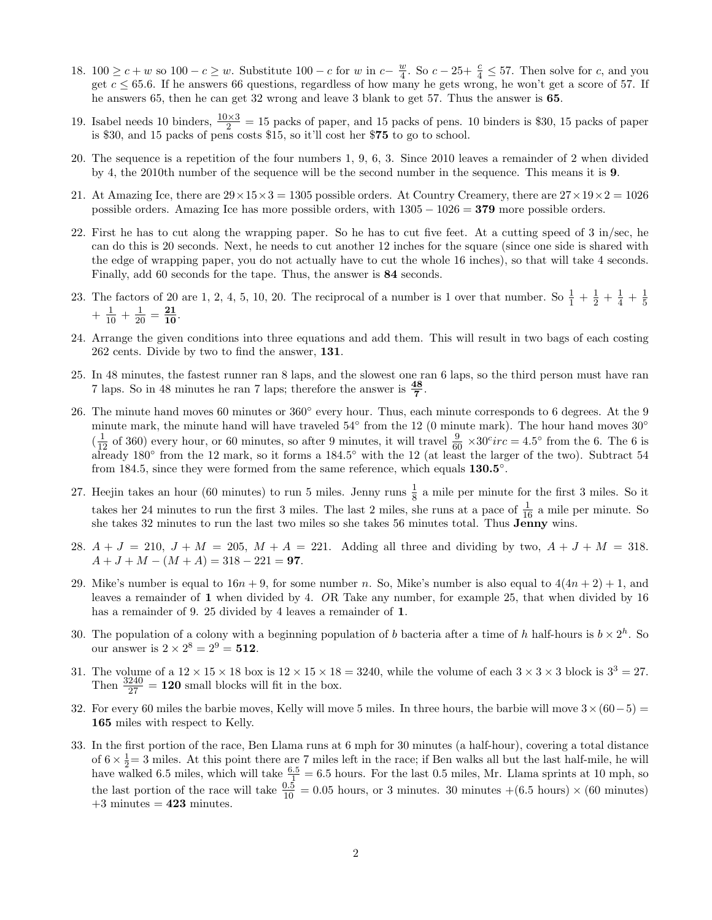- 18. 100 ≥  $c + w$  so 100 −  $c \geq w$ . Substitute 100 − c for w in  $c \frac{w}{4}$  $\frac{w}{4}$ . So  $c - 25 + \frac{c}{4} \le 57$ . Then solve for c, and you get  $c \leq 65.6$ . If he answers 66 questions, regardless of how many he gets wrong, he won't get a score of 57. If he answers 65, then he can get 32 wrong and leave 3 blank to get 57. Thus the answer is 65.
- 19. Isabel needs 10 binders,  $\frac{10\times3}{2} = 15$  packs of paper, and 15 packs of pens. 10 binders is \$30, 15 packs of paper is \$30, and 15 packs of pens costs \$15, so it'll cost her \$75 to go to school.
- 20. The sequence is a repetition of the four numbers 1, 9, 6, 3. Since 2010 leaves a remainder of 2 when divided by 4, the 2010th number of the sequence will be the second number in the sequence. This means it is 9.
- 21. At Amazing Ice, there are  $29 \times 15 \times 3 = 1305$  possible orders. At Country Creamery, there are  $27 \times 19 \times 2 = 1026$ possible orders. Amazing Ice has more possible orders, with 1305 − 1026 = 379 more possible orders.
- 22. First he has to cut along the wrapping paper. So he has to cut five feet. At a cutting speed of 3 in/sec, he can do this is 20 seconds. Next, he needs to cut another 12 inches for the square (since one side is shared with the edge of wrapping paper, you do not actually have to cut the whole 16 inches), so that will take 4 seconds. Finally, add 60 seconds for the tape. Thus, the answer is 84 seconds.
- 23. The factors of 20 are 1, 2, 4, 5, 10, 20. The reciprocal of a number is 1 over that number. So  $\frac{1}{1} + \frac{1}{2}$  $rac{1}{2} + \frac{1}{4}$  $\frac{1}{4} + \frac{1}{5}$ 5  $+\frac{1}{10} + \frac{1}{20} = \frac{21}{10}.$
- 24. Arrange the given conditions into three equations and add them. This will result in two bags of each costing 262 cents. Divide by two to find the answer, 131.
- 25. In 48 minutes, the fastest runner ran 8 laps, and the slowest one ran 6 laps, so the third person must have ran 7 laps. So in 48 minutes he ran 7 laps; therefore the answer is  $\frac{48}{7}$ .
- 26. The minute hand moves 60 minutes or  $360^{\circ}$  every hour. Thus, each minute corresponds to 6 degrees. At the 9 minute mark, the minute hand will have traveled  $54°$  from the 12 (0 minute mark). The hour hand moves  $30°$  $(\frac{1}{12} \text{ of } 360)$  every hour, or 60 minutes, so after 9 minutes, it will travel  $\frac{9}{60} \times 30^{\circ}$  irc = 4.5° from the 6. The 6 is already 180<sup>°</sup> from the 12 mark, so it forms a 184.5<sup>°</sup> with the 12 (at least the larger of the two). Subtract 54 from 184.5, since they were formed from the same reference, which equals  $130.5°$ .
- 27. Heejin takes an hour (60 minutes) to run 5 miles. Jenny runs  $\frac{1}{8}$  a mile per minute for the first 3 miles. So it takes her 24 minutes to run the first 3 miles. The last 2 miles, she runs at a pace of  $\frac{1}{16}$  a mile per minute. So she takes 32 minutes to run the last two miles so she takes 56 minutes total. Thus  $\mathbf{J}^{\text{10}}_{\text{empty}}$  wins.
- 28.  $A + J = 210$ ,  $J + M = 205$ ,  $M + A = 221$ . Adding all three and dividing by two,  $A + J + M = 318$ .  $A + J + M - (M + A) = 318 - 221 = 97.$
- 29. Mike's number is equal to  $16n + 9$ , for some number n. So, Mike's number is also equal to  $4(4n + 2) + 1$ , and leaves a remainder of 1 when divided by 4. OR Take any number, for example 25, that when divided by 16 has a remainder of 9. 25 divided by 4 leaves a remainder of 1.
- 30. The population of a colony with a beginning population of b bacteria after a time of h half-hours is  $b \times 2^h$ . So our answer is  $2 \times 2^8 = 2^9 = 512$ .
- 31. The volume of a  $12 \times 15 \times 18$  box is  $12 \times 15 \times 18 = 3240$ , while the volume of each  $3 \times 3 \times 3$  block is  $3^3 = 27$ . Then  $\frac{3240}{27} = 120$  small blocks will fit in the box.
- 32. For every 60 miles the barbie moves, Kelly will move 5 miles. In three hours, the barbie will move  $3\times(60-5)$  = 165 miles with respect to Kelly.
- 33. In the first portion of the race, Ben Llama runs at 6 mph for 30 minutes (a half-hour), covering a total distance of  $6 \times \frac{1}{2} = 3$  miles. At this point there are 7 miles left in the race; if Ben walks all but the last half-mile, he will have walked 6.5 miles, which will take  $\frac{6.5}{1} = 6.5$  hours. For the last 0.5 miles, Mr. Llama sprints at 10 mph, so the last portion of the race will take  $\frac{0.5}{10} = 0.05$  hours, or 3 minutes. 30 minutes  $+(6.5 \text{ hours}) \times (60 \text{ minutes})$  $+3$  minutes  $= 423$  minutes.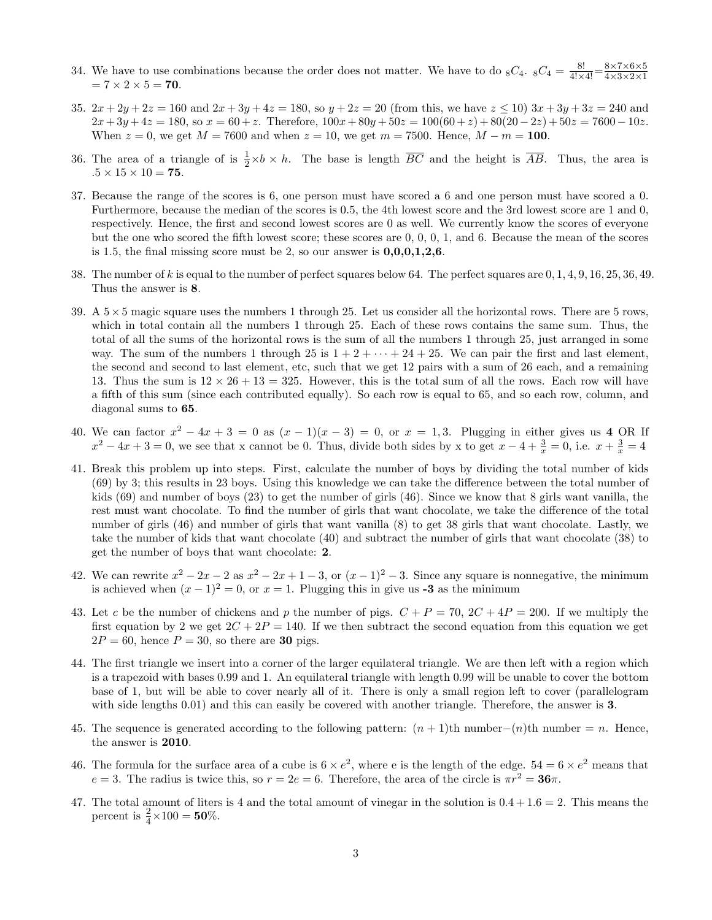- 34. We have to use combinations because the order does not matter. We have to do  ${}_{8}C_{4}$ .  ${}_{8}C_{4} = \frac{8!}{4! \times 4!} = \frac{8 \times 7 \times 6 \times 5}{4 \times 3 \times 2 \times 1}$  $4\times3\times2\times1$  $= 7 \times 2 \times 5 = 70.$
- 35.  $2x + 2y + 2z = 160$  and  $2x + 3y + 4z = 180$ , so  $y + 2z = 20$  (from this, we have  $z \le 10$ )  $3x + 3y + 3z = 240$  and  $2x+3y+4z = 180$ , so  $x = 60+z$ . Therefore,  $100x+80y+50z = 100(60+z)+80(20-2z)+50z = 7600-10z$ . When  $z = 0$ , we get  $M = 7600$  and when  $z = 10$ , we get  $m = 7500$ . Hence,  $M - m = 100$ .
- 36. The area of a triangle of is  $\frac{1}{2} \times b \times h$ . The base is length  $\overline{BC}$  and the height is  $\overline{AB}$ . Thus, the area is  $.5\times15\times10=$   $\bf 75.$
- 37. Because the range of the scores is 6, one person must have scored a 6 and one person must have scored a 0. Furthermore, because the median of the scores is 0.5, the 4th lowest score and the 3rd lowest score are 1 and 0, respectively. Hence, the first and second lowest scores are 0 as well. We currently know the scores of everyone but the one who scored the fifth lowest score; these scores are 0, 0, 0, 1, and 6. Because the mean of the scores is 1.5, the final missing score must be 2, so our answer is  $0,0,0,1,2,6$ .
- 38. The number of k is equal to the number of perfect squares below 64. The perfect squares are  $0, 1, 4, 9, 16, 25, 36, 49$ . Thus the answer is 8.
- 39. A  $5\times 5$  magic square uses the numbers 1 through 25. Let us consider all the horizontal rows. There are 5 rows, which in total contain all the numbers 1 through 25. Each of these rows contains the same sum. Thus, the total of all the sums of the horizontal rows is the sum of all the numbers 1 through 25, just arranged in some way. The sum of the numbers 1 through 25 is  $1 + 2 + \cdots + 24 + 25$ . We can pair the first and last element, the second and second to last element, etc, such that we get 12 pairs with a sum of 26 each, and a remaining 13. Thus the sum is  $12 \times 26 + 13 = 325$ . However, this is the total sum of all the rows. Each row will have a fifth of this sum (since each contributed equally). So each row is equal to 65, and so each row, column, and diagonal sums to 65.
- 40. We can factor  $x^2 4x + 3 = 0$  as  $(x 1)(x 3) = 0$ , or  $x = 1,3$ . Plugging in either gives us 4 OR If  $x^2 - 4x + 3 = 0$ , we see that x cannot be 0. Thus, divide both sides by x to get  $x - 4 + \frac{3}{x} = 0$ , i.e.  $x + \frac{3}{x} = 4$
- 41. Break this problem up into steps. First, calculate the number of boys by dividing the total number of kids (69) by 3; this results in 23 boys. Using this knowledge we can take the difference between the total number of kids (69) and number of boys (23) to get the number of girls (46). Since we know that 8 girls want vanilla, the rest must want chocolate. To find the number of girls that want chocolate, we take the difference of the total number of girls (46) and number of girls that want vanilla (8) to get 38 girls that want chocolate. Lastly, we take the number of kids that want chocolate (40) and subtract the number of girls that want chocolate (38) to get the number of boys that want chocolate: 2.
- 42. We can rewrite  $x^2 2x 2$  as  $x^2 2x + 1 3$ , or  $(x 1)^2 3$ . Since any square is nonnegative, the minimum is achieved when  $(x - 1)^2 = 0$ , or  $x = 1$ . Plugging this in give us -3 as the minimum
- 43. Let c be the number of chickens and p the number of pigs.  $C + P = 70$ ,  $2C + 4P = 200$ . If we multiply the first equation by 2 we get  $2C + 2P = 140$ . If we then subtract the second equation from this equation we get  $2P = 60$ , hence  $P = 30$ , so there are **30** pigs.
- 44. The first triangle we insert into a corner of the larger equilateral triangle. We are then left with a region which is a trapezoid with bases 0.99 and 1. An equilateral triangle with length 0.99 will be unable to cover the bottom base of 1, but will be able to cover nearly all of it. There is only a small region left to cover (parallelogram with side lengths 0.01) and this can easily be covered with another triangle. Therefore, the answer is 3.
- 45. The sequence is generated according to the following pattern:  $(n + 1)$ th number $-(n)$ th number = n. Hence, the answer is 2010.
- 46. The formula for the surface area of a cube is  $6 \times e^2$ , where e is the length of the edge.  $54 = 6 \times e^2$  means that  $e = 3$ . The radius is twice this, so  $r = 2e = 6$ . Therefore, the area of the circle is  $\pi r^2 = 36\pi$ .
- 47. The total amount of liters is 4 and the total amount of vinegar in the solution is  $0.4 + 1.6 = 2$ . This means the percent is  $\frac{2}{4} \times 100 = 50\%$ .